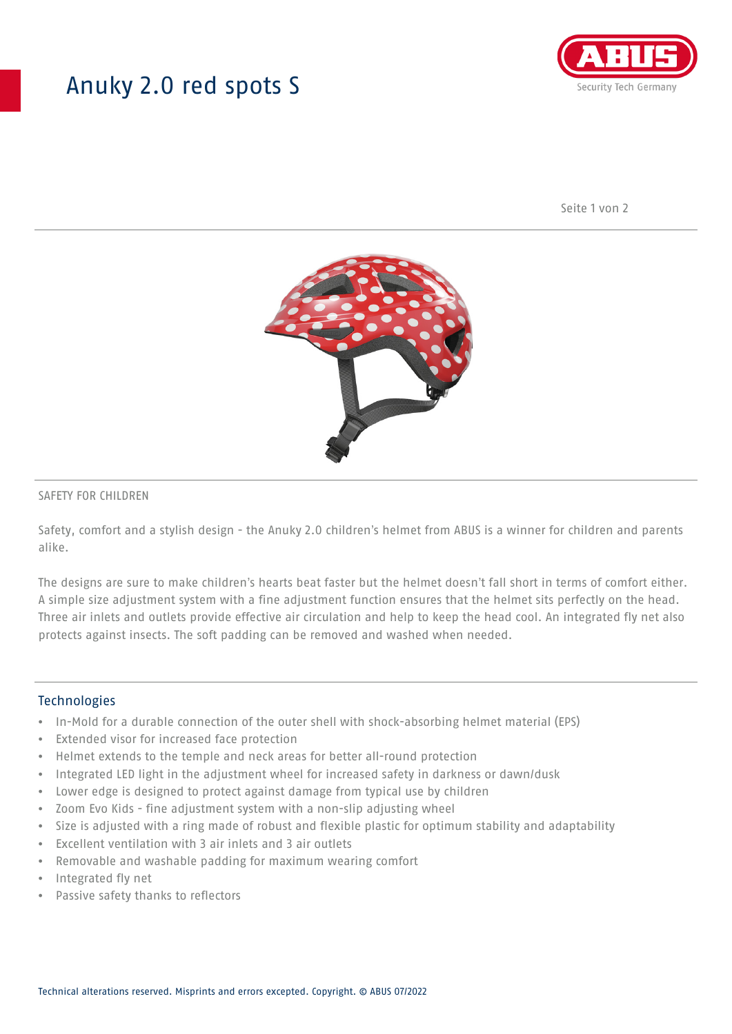## Anuky 2.0 red spots S



Seite 1 von 2



### SAFETY FOR CHILDREN

Safety, comfort and a stylish design - the Anuky 2.0 children's helmet from ABUS is a winner for children and parents alike.

The designs are sure to make children's hearts beat faster but the helmet doesn't fall short in terms of comfort either. A simple size adjustment system with a fine adjustment function ensures that the helmet sits perfectly on the head. Three air inlets and outlets provide effective air circulation and help to keep the head cool. An integrated fly net also protects against insects. The soft padding can be removed and washed when needed.

#### **Technologies**

- In-Mold for a durable connection of the outer shell with shock-absorbing helmet material (EPS)
- Extended visor for increased face protection
- Helmet extends to the temple and neck areas for better all-round protection
- Integrated LED light in the adjustment wheel for increased safety in darkness or dawn/dusk
- Lower edge is designed to protect against damage from typical use by children
- Zoom Evo Kids fine adjustment system with a non-slip adjusting wheel
- Size is adjusted with a ring made of robust and flexible plastic for optimum stability and adaptability
- Excellent ventilation with 3 air inlets and 3 air outlets
- Removable and washable padding for maximum wearing comfort
- Integrated fly net
- Passive safety thanks to reflectors